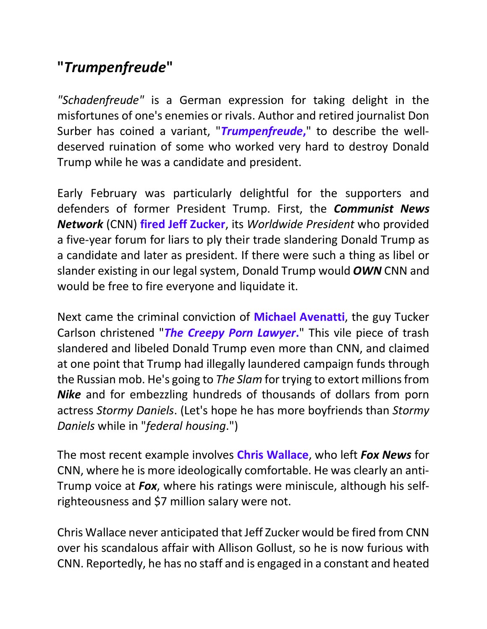## **"***Trumpenfreude***"**

*"Schadenfreude"* is a German expression for taking delight in the misfortunes of one's enemies or rivals. Author and retired journalist Don Surber has coined a variant, "*Trumpenfreude***,**" to describe the welldeserved ruination of some who worked very hard to destroy Donald Trump while he was a candidate and president.

Early February was particularly delightful for the supporters and defenders of former President Trump. First, the *Communist News Network* (CNN) **fired Jeff Zucker**, its *Worldwide President* who provided a five-year forum for liars to ply their trade slandering Donald Trump as a candidate and later as president. If there were such a thing as libel or slander existing in our legal system, Donald Trump would *OWN* CNN and would be free to fire everyone and liquidate it.

Next came the criminal conviction of **Michael Avenatti**, the guy Tucker Carlson christened "*The Creepy Porn Lawyer***.**" This vile piece of trash slandered and libeled Donald Trump even more than CNN, and claimed at one point that Trump had illegally laundered campaign funds through the Russian mob. He's going to *The Slam* for trying to extort millions from *Nike* and for embezzling hundreds of thousands of dollars from porn actress *Stormy Daniels*. (Let's hope he has more boyfriends than *Stormy Daniels* while in "*federal housing*.")

The most recent example involves **Chris Wallace**, who left *Fox News* for CNN, where he is more ideologically comfortable. He was clearly an anti-Trump voice at *Fox*, where his ratings were miniscule, although his selfrighteousness and \$7 million salary were not.

Chris Wallace never anticipated that Jeff Zucker would be fired from CNN over his scandalous affair with Allison Gollust, so he is now furious with CNN. Reportedly, he has no staff and is engaged in a constant and heated